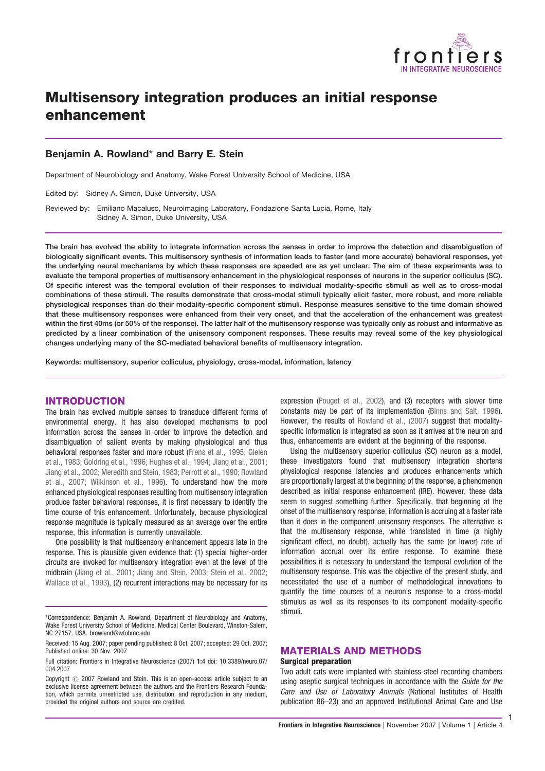

# Multisensory integration produces an initial response enhancement

# Benjamin A. Rowland\* and Barry E. Stein

Department of Neurobiology and Anatomy, Wake Forest University School of Medicine, USA

Edited by: Sidney A. Simon, Duke University, USA

Reviewed by: Emiliano Macaluso, Neuroimaging Laboratory, Fondazione Santa Lucia, Rome, Italy Sidney A. Simon, Duke University, USA

The brain has evolved the ability to integrate information across the senses in order to improve the detection and disambiguation of biologically significant events. This multisensory synthesis of information leads to faster (and more accurate) behavioral responses, yet the underlying neural mechanisms by which these responses are speeded are as yet unclear. The aim of these experiments was to evaluate the temporal properties of multisensory enhancement in the physiological responses of neurons in the superior colliculus (SC). Of specific interest was the temporal evolution of their responses to individual modality-specific stimuli as well as to cross-modal combinations of these stimuli. The results demonstrate that cross-modal stimuli typically elicit faster, more robust, and more reliable physiological responses than do their modality-specific component stimuli. Response measures sensitive to the time domain showed that these multisensory responses were enhanced from their very onset, and that the acceleration of the enhancement was greatest within the first 40ms (or 50% of the response). The latter half of the multisensory response was typically only as robust and informative as predicted by a linear combination of the unisensory component responses. These results may reveal some of the key physiological changes underlying many of the SC-mediated behavioral benefits of multisensory integration.

Keywords: multisensory, superior colliculus, physiology, cross-modal, information, latency

## INTRODUCTION

The brain has evolved multiple senses to transduce different forms of environmental energy. It has also developed mechanisms to pool information across the senses in order to improve the detection and disambiguation of salient events by making physiological and thus behavioral responses faster and more robust (Frens et al., 1995; Gielen et al., 1983; Goldring et al., 1996; Hughes et al., 1994; Jiang et al., 2001; Jiang et al., 2002; Meredith and Stein, 1983; Perrott et al., 1990; Rowland et al., 2007; Wilkinson et al., 1996). To understand how the more enhanced physiological responses resulting from multisensory integration produce faster behavioral responses, it is first necessary to identify the time course of this enhancement. Unfortunately, because physiological response magnitude is typically measured as an average over the entire response, this information is currently unavailable.

One possibility is that multisensory enhancement appears late in the response. This is plausible given evidence that: (1) special higher-order circuits are invoked for multisensory integration even at the level of the midbrain (Jiang et al., 2001; Jiang and Stein, 2003; Stein et al., 2002; Wallace et al., 1993), (2) recurrent interactions may be necessary for its expression (Pouget et al., 2002), and (3) receptors with slower time constants may be part of its implementation (Binns and Salt, 1996). However, the results of Rowland et al., (2007) suggest that modalityspecific information is integrated as soon as it arrives at the neuron and thus, enhancements are evident at the beginning of the response.

Using the multisensory superior colliculus (SC) neuron as a model, these investigators found that multisensory integration shortens physiological response latencies and produces enhancements which are proportionally largest at the beginning of the response, a phenomenon described as initial response enhancement (IRE). However, these data seem to suggest something further. Specifically, that beginning at the onset of the multisensory response, information is accruing at a faster rate than it does in the component unisensory responses. The alternative is that the multisensory response, while translated in time (a highly significant effect, no doubt), actually has the same (or lower) rate of information accrual over its entire response. To examine these possibilities it is necessary to understand the temporal evolution of the multisensory response. This was the objective of the present study, and necessitated the use of a number of methodological innovations to quantify the time courses of a neuron's response to a cross-modal stimulus as well as its responses to its component modality-specific stimuli.

## MATERIALS AND METHODS

#### Surgical preparation

Two adult cats were implanted with stainless-steel recording chambers using aseptic surgical techniques in accordance with the Guide for the Care and Use of Laboratory Animals (National Institutes of Health publication 86–23) and an approved Institutional Animal Care and Use

1

<sup>\*</sup>Correspondence: Benjamin A. Rowland, Department of Neurobiology and Anatomy, Wake Forest University School of Medicine, Medical Center Boulevard, Winston-Salem, NC 27157, USA. browland@wfubmc.edu

Received: 15 Aug. 2007; paper pending published: 8 Oct. 2007; accepted: 29 Oct. 2007; Published online: 30 Nov. 2007

Full citation: Frontiers in Integrative Neuroscience (2007) 1:4 doi: 10.3389/neuro.07/ 004.2007

Copyright  $\odot$  2007 Rowland and Stein. This is an open-access article subject to an exclusive license agreement between the authors and the Frontiers Research Foundation, which permits unrestricted use, distribution, and reproduction in any medium, provided the original authors and source are credited.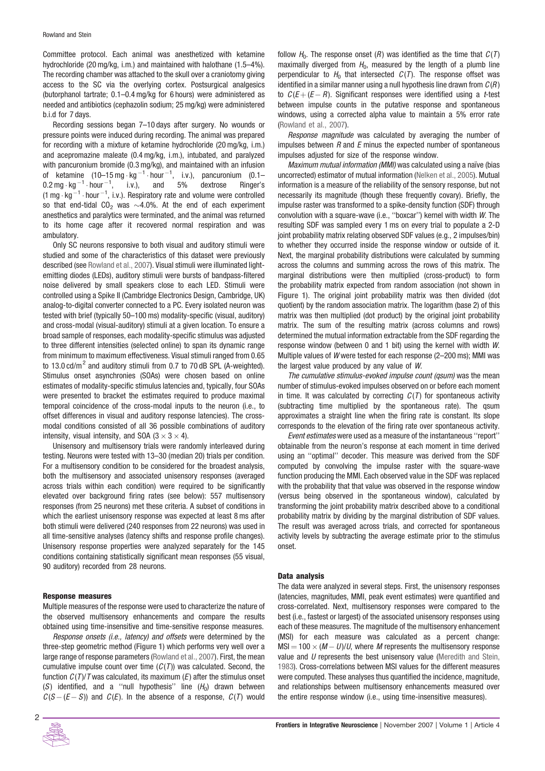Committee protocol. Each animal was anesthetized with ketamine hydrochloride (20 mg/kg, i.m.) and maintained with halothane (1.5–4%). The recording chamber was attached to the skull over a craniotomy giving access to the SC via the overlying cortex. Postsurgical analgesics (butorphanol tartrate; 0.1–0.4 mg/kg for 6 hours) were administered as needed and antibiotics (cephazolin sodium; 25 mg/kg) were administered b.i.d for 7 days.

Recording sessions began 7–10 days after surgery. No wounds or pressure points were induced during recording. The animal was prepared for recording with a mixture of ketamine hydrochloride (20 mg/kg, i.m.) and acepromazine maleate (0.4 mg/kg, i.m.), intubated, and paralyzed with pancuronium bromide (0.3 mg/kg), and maintained with an infusion of ketamine  $(10-15 \text{ mg} \cdot \text{kg}^{-1} \cdot \text{hour}^{-1}$ , i.v.), pancuronium  $(0.1 0.2 \text{ mg} \cdot \text{kg}^{-1} \cdot \text{hour}^{-1}$ , i.v.), and 5% dextrose Ringer's  $(1 \text{ mg} \cdot \text{kg}^{-1} \cdot \text{hour}^{-1}, \text{ i.v.}).$  Respiratory rate and volume were controlled so that end-tidal  $CO<sub>2</sub>$  was  $\sim$ 4.0%. At the end of each experiment anesthetics and paralytics were terminated, and the animal was returned to its home cage after it recovered normal respiration and was ambulatory.

Only SC neurons responsive to both visual and auditory stimuli were studied and some of the characteristics of this dataset were previously described (see Rowland et al., 2007). Visual stimuli were illuminated lightemitting diodes (LEDs), auditory stimuli were bursts of bandpass-filtered noise delivered by small speakers close to each LED. Stimuli were controlled using a Spike II (Cambridge Electronics Design, Cambridge, UK) analog-to-digital converter connected to a PC. Every isolated neuron was tested with brief (typically 50–100 ms) modality-specific (visual, auditory) and cross-modal (visual-auditory) stimuli at a given location. To ensure a broad sample of responses, each modality-specific stimulus was adjusted to three different intensities (selected online) to span its dynamic range from minimum to maximum effectiveness. Visual stimuli ranged from 0.65 to 13.0 cd/ $m^2$  and auditory stimuli from 0.7 to 70 dB SPL (A-weighted). Stimulus onset asynchronies (SOAs) were chosen based on online estimates of modality-specific stimulus latencies and, typically, four SOAs were presented to bracket the estimates required to produce maximal temporal coincidence of the cross-modal inputs to the neuron (i.e., to offset differences in visual and auditory response latencies). The crossmodal conditions consisted of all 36 possible combinations of auditory intensity, visual intensity, and SOA  $(3 \times 3 \times 4)$ .

Unisensory and multisensory trials were randomly interleaved during testing. Neurons were tested with 13–30 (median 20) trials per condition. For a multisensory condition to be considered for the broadest analysis, both the multisensory and associated unisensory responses (averaged across trials within each condition) were required to be significantly elevated over background firing rates (see below): 557 multisensory responses (from 25 neurons) met these criteria. A subset of conditions in which the earliest unisensory response was expected at least 8 ms after both stimuli were delivered (240 responses from 22 neurons) was used in all time-sensitive analyses (latency shifts and response profile changes). Unisensory response properties were analyzed separately for the 145 conditions containing statistically significant mean responses (55 visual, 90 auditory) recorded from 28 neurons.

#### Response measures

Multiple measures of the response were used to characterize the nature of the observed multisensory enhancements and compare the results obtained using time-insensitive and time-sensitive response measures.

Response onsets (i.e., latency) and offsets were determined by the three-step geometric method (Figure 1) which performs very well over a large range of response parameters (Rowland et al., 2007). First, the mean cumulative impulse count over time  $(C(T))$  was calculated. Second, the function  $C(T)/T$  was calculated, its maximum  $(E)$  after the stimulus onset (S) identified, and a "null hypothesis" line  $(H_0)$  drawn between  $C(S-(E-S))$  and  $C(E)$ . In the absence of a response,  $C(T)$  would



Response magnitude was calculated by averaging the number of impulses between  $R$  and  $E$  minus the expected number of spontaneous impulses adjusted for size of the response window.

Maximum mutual information (MMI) was calculated using a naïve (bias uncorrected) estimator of mutual information (Nelken et al., 2005). Mutual information is a measure of the reliability of the sensory response, but not necessarily its magnitude (though these frequently covary). Briefly, the impulse raster was transformed to a spike-density function (SDF) through convolution with a square-wave (i.e., ''boxcar'') kernel with width W. The resulting SDF was sampled every 1 ms on every trial to populate a 2-D joint probability matrix relating observed SDF values (e.g., 2 impulses/bin) to whether they occurred inside the response window or outside of it. Next, the marginal probability distributions were calculated by summing across the columns and summing across the rows of this matrix. The marginal distributions were then multiplied (cross-product) to form the probability matrix expected from random association (not shown in Figure 1). The original joint probability matrix was then divided (dot quotient) by the random association matrix. The logarithm (base 2) of this matrix was then multiplied (dot product) by the original joint probability matrix. The sum of the resulting matrix (across columns and rows) determined the mutual information extractable from the SDF regarding the response window (between 0 and 1 bit) using the kernel with width W. Multiple values of W were tested for each response (2–200 ms); MMI was the largest value produced by any value of W.

The cumulative stimulus-evoked impulse count (qsum) was the mean number of stimulus-evoked impulses observed on or before each moment in time. It was calculated by correcting  $C(T)$  for spontaneous activity (subtracting time multiplied by the spontaneous rate). The qsum approximates a straight line when the firing rate is constant. Its slope corresponds to the elevation of the firing rate over spontaneous activity.

Event estimates were used as a measure of the instantaneous ''report'' obtainable from the neuron's response at each moment in time derived using an ''optimal'' decoder. This measure was derived from the SDF computed by convolving the impulse raster with the square-wave function producing the MMI. Each observed value in the SDF was replaced with the probability that that value was observed in the response window (versus being observed in the spontaneous window), calculated by transforming the joint probability matrix described above to a conditional probability matrix by dividing by the marginal distribution of SDF values. The result was averaged across trials, and corrected for spontaneous activity levels by subtracting the average estimate prior to the stimulus onset.

#### Data analysis

The data were analyzed in several steps. First, the unisensory responses (latencies, magnitudes, MMI, peak event estimates) were quantified and cross-correlated. Next, multisensory responses were compared to the best (i.e., fastest or largest) of the associated unisensory responses using each of these measures. The magnitude of the multisensory enhancement (MSI) for each measure was calculated as a percent change:  $MSI = 100 \times (M - U)/U$ , where M represents the multisensory response value and  $U$  represents the best unisensory value (Meredith and Stein, 1983). Cross-correlations between MSI values for the different measures were computed. These analyses thus quantified the incidence, magnitude, and relationships between multisensory enhancements measured over the entire response window (i.e., using time-insensitive measures).

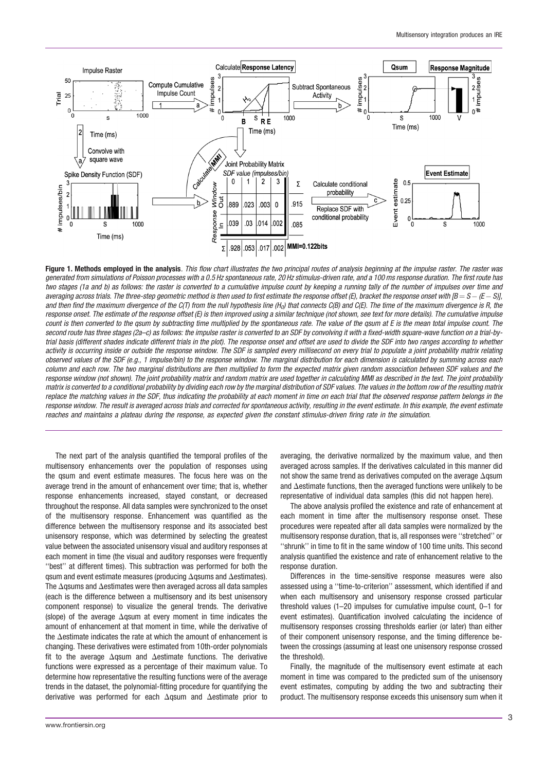

Figure 1. Methods employed in the analysis. This flow chart illustrates the two principal routes of analysis beginning at the impulse raster. The raster was generated from simulations of Poisson processes with a 0.5 Hz spontaneous rate, 20 Hz stimulus-driven rate, and a 100 ms response duration. The first route has two stages (1a and b) as follows: the raster is converted to a cumulative impulse count by keeping a running tally of the number of impulses over time and averaging across trials. The three-step geometric method is then used to first estimate the response offset (E), bracket the response onset with [B = S - (E - S)], and then find the maximum divergence of the C(T) from the null hypothesis line (H<sub>o</sub>) that connects C(B) and C(E). The time of the maximum divergence is R, the response onset. The estimate of the response offset (E) is then improved using a similar technique (not shown, see text for more details). The cumulative impulse count is then converted to the qsum by subtracting time multiplied by the spontaneous rate. The value of the qsum at E is the mean total impulse count. The second route has three stages (2a-c) as follows: the impulse raster is converted to an SDF by convolving it with a fixed-width square-wave function on a trial-bytrial basis (different shades indicate different trials in the plot). The response onset and offset are used to divide the SDF into two ranges according to whether activity is occurring inside or outside the response window. The SDF is sampled every millisecond on every trial to populate a joint probability matrix relating observed values of the SDF (e.g., 1 impulse/bin) to the response window. The marginal distribution for each dimension is calculated by summing across each column and each row. The two marginal distributions are then multiplied to form the expected matrix given random association between SDF values and the response window (not shown). The joint probability matrix and random matrix are used together in calculating MMI as described in the text. The joint probability matrix is converted to a conditional probability by dividing each row by the marginal distribution of SDF values. The values in the bottom row of the resulting matrix replace the matching values in the SDF, thus indicating the probability at each moment in time on each trial that the observed response pattern belongs in the response window. The result is averaged across trials and corrected for spontaneous activity, resulting in the event estimate. In this example, the event estimate reaches and maintains a plateau during the response, as expected given the constant stimulus-driven firing rate in the simulation.

The next part of the analysis quantified the temporal profiles of the multisensory enhancements over the population of responses using the qsum and event estimate measures. The focus here was on the average trend in the amount of enhancement over time; that is, whether response enhancements increased, stayed constant, or decreased throughout the response. All data samples were synchronized to the onset of the multisensory response. Enhancement was quantified as the difference between the multisensory response and its associated best unisensory response, which was determined by selecting the greatest value between the associated unisensory visual and auditory responses at each moment in time (the visual and auditory responses were frequently ''best'' at different times). This subtraction was performed for both the qsum and event estimate measures (producing  $\Delta$ qsums and  $\Delta$ estimates). The  $\Delta$ gsums and  $\Delta$ estimates were then averaged across all data samples (each is the difference between a multisensory and its best unisensory component response) to visualize the general trends. The derivative (slope) of the average  $\Delta$ qsum at every moment in time indicates the amount of enhancement at that moment in time, while the derivative of the  $\Delta$ estimate indicates the rate at which the amount of enhancement is changing. These derivatives were estimated from 10th-order polynomials fit to the average  $\Delta$ qsum and  $\Delta$ estimate functions. The derivative functions were expressed as a percentage of their maximum value. To determine how representative the resulting functions were of the average trends in the dataset, the polynomial-fitting procedure for quantifying the derivative was performed for each  $\Delta$ qsum and  $\Delta$ estimate prior to averaging, the derivative normalized by the maximum value, and then averaged across samples. If the derivatives calculated in this manner did not show the same trend as derivatives computed on the average  $\Delta q$ sum and  $\Delta$ estimate functions, then the averaged functions were unlikely to be representative of individual data samples (this did not happen here).

The above analysis profiled the existence and rate of enhancement at each moment in time after the multisensory response onset. These procedures were repeated after all data samples were normalized by the multisensory response duration, that is, all responses were ''stretched'' or ''shrunk'' in time to fit in the same window of 100 time units. This second analysis quantified the existence and rate of enhancement relative to the response duration.

Differences in the time-sensitive response measures were also assessed using a ''time-to-criterion'' assessment, which identified if and when each multisensory and unisensory response crossed particular threshold values (1–20 impulses for cumulative impulse count, 0–1 for event estimates). Quantification involved calculating the incidence of multisensory responses crossing thresholds earlier (or later) than either of their component unisensory response, and the timing difference between the crossings (assuming at least one unisensory response crossed the threshold).

Finally, the magnitude of the multisensory event estimate at each moment in time was compared to the predicted sum of the unisensory event estimates, computing by adding the two and subtracting their product. The multisensory response exceeds this unisensory sum when it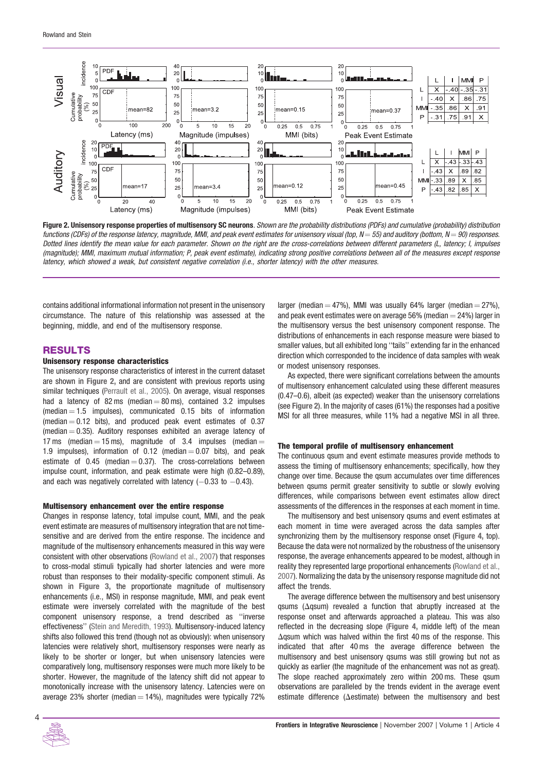

Figure 2. Unisensory response properties of multisensory SC neurons. Shown are the probability distributions (PDFs) and cumulative (probability) distribution functions (CDFs) of the response latency, magnitude, MMI, and peak event estimates for unisensory visual (top,  $N = 55$ ) and auditory (bottom,  $N = 90$ ) responses. Dotted lines identify the mean value for each parameter. Shown on the right are the cross-correlations between different parameters (L, latency; I, impulses (magnitude); MMI, maximum mutual information; P, peak event estimate), indicating strong positive correlations between all of the measures except response latency, which showed a weak, but consistent negative correlation (i.e., shorter latency) with the other measures.

contains additional informational information not present in the unisensory circumstance. The nature of this relationship was assessed at the beginning, middle, and end of the multisensory response.

## RESULTS

#### Unisensory response characteristics

The unisensory response characteristics of interest in the current dataset are shown in Figure 2, and are consistent with previous reports using similar techniques (Perrault et al., 2005). On average, visual responses had a latency of 82 ms (median  $=$  80 ms), contained 3.2 impulses  $(median = 1.5$  impulses), communicated 0.15 bits of information (median  $= 0.12$  bits), and produced peak event estimates of 0.37 (median  $= 0.35$ ). Auditory responses exhibited an average latency of 17 ms (median  $=$  15 ms), magnitude of 3.4 impulses (median  $=$ 1.9 impulses), information of 0.12 (median  $=$  0.07 bits), and peak estimate of  $0.45$  (median  $= 0.37$ ). The cross-correlations between impulse count, information, and peak estimate were high (0.82–0.89), and each was negatively correlated with latency  $(-0.33 \text{ to } -0.43)$ .

#### Multisensory enhancement over the entire response

Changes in response latency, total impulse count, MMI, and the peak event estimate are measures of multisensory integration that are not timesensitive and are derived from the entire response. The incidence and magnitude of the multisensory enhancements measured in this way were consistent with other observations (Rowland et al., 2007) that responses to cross-modal stimuli typically had shorter latencies and were more robust than responses to their modality-specific component stimuli. As shown in Figure 3, the proportionate magnitude of multisensory enhancements (i.e., MSI) in response magnitude, MMI, and peak event estimate were inversely correlated with the magnitude of the best component unisensory response, a trend described as ''inverse effectiveness'' (Stein and Meredith, 1993). Multisensory-induced latency shifts also followed this trend (though not as obviously): when unisensory latencies were relatively short, multisensory responses were nearly as likely to be shorter or longer, but when unisensory latencies were comparatively long, multisensory responses were much more likely to be shorter. However, the magnitude of the latency shift did not appear to monotonically increase with the unisensory latency. Latencies were on average 23% shorter (median  $=$  14%), magnitudes were typically 72%

larger (median  $=$  47%), MMI was usually 64% larger (median  $=$  27%), and peak event estimates were on average 56% (median  $=$  24%) larger in the multisensory versus the best unisensory component response. The distributions of enhancements in each response measure were biased to smaller values, but all exhibited long ''tails'' extending far in the enhanced direction which corresponded to the incidence of data samples with weak or modest unisensory responses.

As expected, there were significant correlations between the amounts of multisensory enhancement calculated using these different measures (0.47–0.6), albeit (as expected) weaker than the unisensory correlations (see Figure 2). In the majority of cases (61%) the responses had a positive MSI for all three measures, while 11% had a negative MSI in all three.

#### The temporal profile of multisensory enhancement

The continuous qsum and event estimate measures provide methods to assess the timing of multisensory enhancements; specifically, how they change over time. Because the qsum accumulates over time differences between qsums permit greater sensitivity to subtle or slowly evolving differences, while comparisons between event estimates allow direct assessments of the differences in the responses at each moment in time.

The multisensory and best unisensory qsums and event estimates at each moment in time were averaged across the data samples after synchronizing them by the multisensory response onset (Figure 4, top). Because the data were not normalized by the robustness of the unisensory response, the average enhancements appeared to be modest, although in reality they represented large proportional enhancements (Rowland et al., 2007). Normalizing the data by the unisensory response magnitude did not affect the trends.

The average difference between the multisensory and best unisensory qsums ( $\Delta$ qsum) revealed a function that abruptly increased at the response onset and afterwards approached a plateau. This was also reflected in the decreasing slope (Figure 4, middle left) of the mean  $\Delta$ qsum which was halved within the first 40 ms of the response. This indicated that after 40 ms the average difference between the multisensory and best unisensory qsums was still growing but not as quickly as earlier (the magnitude of the enhancement was not as great). The slope reached approximately zero within 200 ms. These qsum observations are paralleled by the trends evident in the average event estimate difference ( $\Delta$ estimate) between the multisensory and best

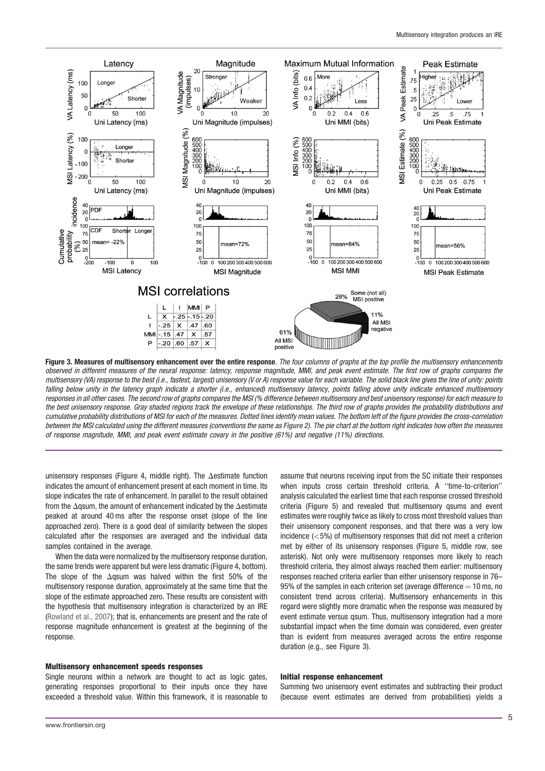

Figure 3. Measures of multisensory enhancement over the entire response. The four columns of graphs at the top profile the multisensory enhancements observed in different measures of the neural response: latency, response magnitude, MMI, and peak event estimate. The first row of graphs compares the multisensory (VA) response to the best (i.e., fastest, largest) unisensory (V or A) response value for each variable. The solid black line gives the line of unity: points falling below unity in the latency graph indicate a shorter (i.e., enhanced) multisensory latency, points falling above unity indicate enhanced multisensory responses in all other cases. The second row of graphs compares the MSI (% difference between multisensory and best unisensory response) for each measure to the best unisensory response. Gray shaded regions track the envelope of these relationships. The third row of graphs provides the probability distributions and cumulative probability distributions of MSI for each of the measures. Dotted lines identify mean values. The bottom left of the figure provides the cross-correlation between the MSI calculated using the different measures (conventions the same as Figure 2). The pie chart at the bottom right indicates how often the measures of response magnitude, MMI, and peak event estimate covary in the positive (61%) and negative (11%) directions.

unisensory responses (Figure 4, middle right). The  $\Delta$ estimate function indicates the amount of enhancement present at each moment in time. Its slope indicates the rate of enhancement. In parallel to the result obtained from the  $\Delta$ qsum, the amount of enhancement indicated by the  $\Delta$ estimate peaked at around 40 ms after the response onset (slope of the line approached zero). There is a good deal of similarity between the slopes calculated after the responses are averaged and the individual data samples contained in the average.

When the data were normalized by the multisensory response duration, the same trends were apparent but were less dramatic (Figure 4, bottom). The slope of the  $\Delta$ qsum was halved within the first 50% of the multisensory response duration, approximately at the same time that the slope of the estimate approached zero. These results are consistent with the hypothesis that multisensory integration is characterized by an IRE (Rowland et al., 2007); that is, enhancements are present and the rate of response magnitude enhancement is greatest at the beginning of the response.

## Multisensory enhancement speeds responses

Single neurons within a network are thought to act as logic gates, generating responses proportional to their inputs once they have exceeded a threshold value. Within this framework, it is reasonable to assume that neurons receiving input from the SC initiate their responses when inputs cross certain threshold criteria. A ''time-to-criterion'' analysis calculated the earliest time that each response crossed threshold criteria (Figure 5) and revealed that multisensory qsums and event estimates were roughly twice as likely to cross most threshold values than their unisensory component responses, and that there was a very low incidence (<5%) of multisensory responses that did not meet a criterion met by either of its unisensory responses (Figure 5, middle row, see asterisk). Not only were multisensory responses more likely to reach threshold criteria, they almost always reached them earlier: multisensory responses reached criteria earlier than either unisensory response in 76– 95% of the samples in each criterion set (average difference  $=$  10 ms, no consistent trend across criteria). Multisensory enhancements in this regard were slightly more dramatic when the response was measured by event estimate versus qsum. Thus, multisensory integration had a more substantial impact when the time domain was considered, even greater than is evident from measures averaged across the entire response duration (e.g., see Figure 3).

#### Initial response enhancement

Summing two unisensory event estimates and subtracting their product (because event estimates are derived from probabilities) yields a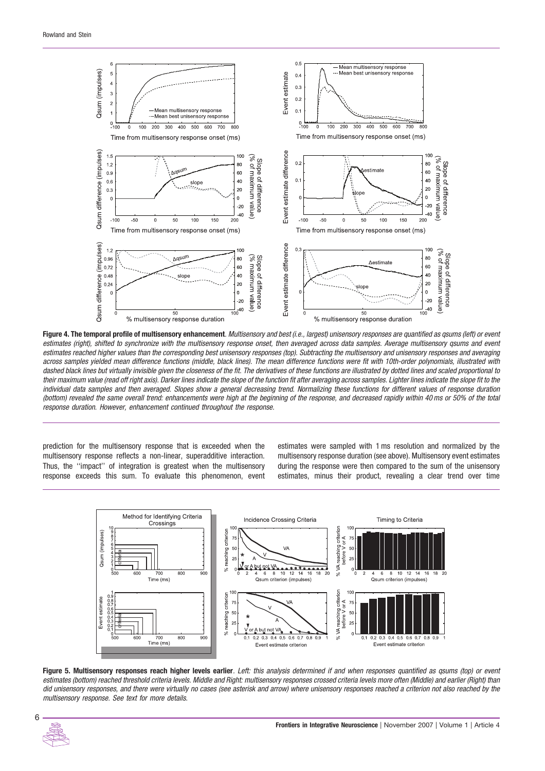

Figure 4. The temporal profile of multisensory enhancement. Multisensory and best (i.e., largest) unisensory responses are quantified as gsums (left) or event estimates (right), shifted to synchronize with the multisensory response onset, then averaged across data samples. Average multisensory qsums and event estimates reached higher values than the corresponding best unisensory responses (top). Subtracting the multisensory and unisensory responses and averaging across samples yielded mean difference functions (middle, black lines). The mean difference functions were fit with 10th-order polynomials, illustrated with dashed black lines but virtually invisible given the closeness of the fit. The derivatives of these functions are illustrated by dotted lines and scaled proportional to their maximum value (read off right axis). Darker lines indicate the slope of the function fit after averaging across samples. Lighter lines indicate the slope fit to the individual data samples and then averaged. Slopes show a general decreasing trend. Normalizing these functions for different values of response duration (bottom) revealed the same overall trend: enhancements were high at the beginning of the response, and decreased rapidly within 40 ms or 50% of the total response duration. However, enhancement continued throughout the response.

prediction for the multisensory response that is exceeded when the multisensory response reflects a non-linear, superadditive interaction. Thus, the ''impact'' of integration is greatest when the multisensory response exceeds this sum. To evaluate this phenomenon, event

estimates were sampled with 1 ms resolution and normalized by the multisensory response duration (see above). Multisensory event estimates during the response were then compared to the sum of the unisensory estimates, minus their product, revealing a clear trend over time



Figure 5. Multisensory responses reach higher levels earlier. Left: this analysis determined if and when responses quantified as gsums (top) or event estimates (bottom) reached threshold criteria levels. Middle and Right: multisensory responses crossed criteria levels more often (Middle) and earlier (Right) than did unisensory responses, and there were virtually no cases (see asterisk and arrow) where unisensory responses reached a criterion not also reached by the multisensory response. See text for more details.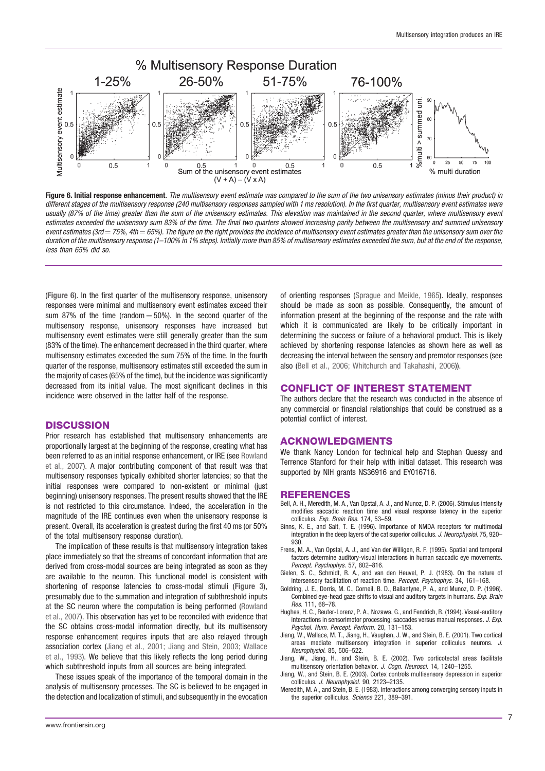

Figure 6. Initial response enhancement. The multisensory event estimate was compared to the sum of the two unisensory estimates (minus their product) in different stages of the multisensory response (240 multisensory responses sampled with 1 ms resolution). In the first quarter, multisensory event estimates were usually (87% of the time) greater than the sum of the unisensory estimates. This elevation was maintained in the second quarter, where multisensory event estimates exceeded the unisensory sum 83% of the time. The final two quarters showed increasing parity between the multisensory and summed unisensory event estimates (3rd = 75%, 4th = 65%). The figure on the right provides the incidence of multisensory event estimates greater than the unisensory sum over the duration of the multisensory response (1-100% in 1% steps). Initially more than 85% of multisensory estimates exceeded the sum, but at the end of the response, less than 65% did so.

(Figure 6). In the first quarter of the multisensory response, unisensory responses were minimal and multisensory event estimates exceed their sum 87% of the time (random  $=$  50%). In the second quarter of the multisensory response, unisensory responses have increased but multisensory event estimates were still generally greater than the sum (83% of the time). The enhancement decreased in the third quarter, where multisensory estimates exceeded the sum 75% of the time. In the fourth quarter of the response, multisensory estimates still exceeded the sum in the majority of cases (65% of the time), but the incidence was significantly decreased from its initial value. The most significant declines in this incidence were observed in the latter half of the response.

## **DISCUSSION**

Prior research has established that multisensory enhancements are proportionally largest at the beginning of the response, creating what has been referred to as an initial response enhancement, or IRE (see Rowland et al., 2007). A major contributing component of that result was that multisensory responses typically exhibited shorter latencies; so that the initial responses were compared to non-existent or minimal (just beginning) unisensory responses. The present results showed that the IRE is not restricted to this circumstance. Indeed, the acceleration in the magnitude of the IRE continues even when the unisensory response is present. Overall, its acceleration is greatest during the first 40 ms (or 50% of the total multisensory response duration).

The implication of these results is that multisensory integration takes place immediately so that the streams of concordant information that are derived from cross-modal sources are being integrated as soon as they are available to the neuron. This functional model is consistent with shortening of response latencies to cross-modal stimuli (Figure 3), presumably due to the summation and integration of subthreshold inputs at the SC neuron where the computation is being performed (Rowland et al., 2007). This observation has yet to be reconciled with evidence that the SC obtains cross-modal information directly, but its multisensory response enhancement requires inputs that are also relayed through association cortex (Jiang et al., 2001; Jiang and Stein, 2003; Wallace et al., 1993). We believe that this likely reflects the long period during which subthreshold inputs from all sources are being integrated.

These issues speak of the importance of the temporal domain in the analysis of multisensory processes. The SC is believed to be engaged in the detection and localization of stimuli, and subsequently in the evocation of orienting responses (Sprague and Meikle, 1965). Ideally, responses should be made as soon as possible. Consequently, the amount of information present at the beginning of the response and the rate with which it is communicated are likely to be critically important in determining the success or failure of a behavioral product. This is likely achieved by shortening response latencies as shown here as well as decreasing the interval between the sensory and premotor responses (see also (Bell et al., 2006; Whitchurch and Takahashi, 2006)).

## CONFLICT OF INTEREST STATEMENT

The authors declare that the research was conducted in the absence of any commercial or financial relationships that could be construed as a potential conflict of interest.

## ACKNOWLEDGMENTS

We thank Nancy London for technical help and Stephan Quessy and Terrence Stanford for their help with initial dataset. This research was supported by NIH grants NS36916 and EY016716.

## REFERENCES

- Bell, A. H., Meredith, M. A., Van Opstal, A. J., and Munoz, D. P. (2006). Stimulus intensity modifies saccadic reaction time and visual response latency in the superior colliculus. Exp. Brain Res. 174, 53–59.
- Binns, K. E., and Salt, T. E. (1996). Importance of NMDA receptors for multimodal integration in the deep layers of the cat superior colliculus. J. Neurophysiol. 75, 920– 930.
- Frens, M. A., Van Opstal, A. J., and Van der Willigen, R. F. (1995). Spatial and temporal factors determine auditory-visual interactions in human saccadic eye movements. Percept. Psychophys. 57, 802-816.
- Gielen, S. C., Schmidt, R. A., and van den Heuvel, P. J. (1983). On the nature of intersensory facilitation of reaction time. Percept. Psychophys. 34, 161–168.
- Goldring, J. E., Dorris, M. C., Corneil, B. D., Ballantyne, P. A., and Munoz, D. P. (1996). Combined eye-head gaze shifts to visual and auditory targets in humans. Exp. Brain Res. 111, 68–78.
- Hughes, H. C., Reuter-Lorenz, P. A., Nozawa, G., and Fendrich, R. (1994). Visual-auditory interactions in sensorimotor processing: saccades versus manual responses. J. Exp. Psychol. Hum. Percept. Perform. 20, 131–153.
- Jiang, W., Wallace, M. T., Jiang, H., Vaughan, J. W., and Stein, B. E. (2001). Two cortical areas mediate multisensory integration in superior colliculus neurons. J. Neurophysiol. 85, 506–522.
- Jiang, W., Jiang, H., and Stein, B. E. (2002). Two corticotectal areas facilitate multisensory orientation behavior. J. Cogn. Neurosci. 14, 1240-1255.
- Jiang, W., and Stein, B. E. (2003). Cortex controls multisensory depression in superior colliculus. J. Neurophysiol. 90, 2123–2135.
- Meredith, M. A., and Stein, B. E. (1983). Interactions among converging sensory inputs in the superior colliculus. Science 221, 389–391.